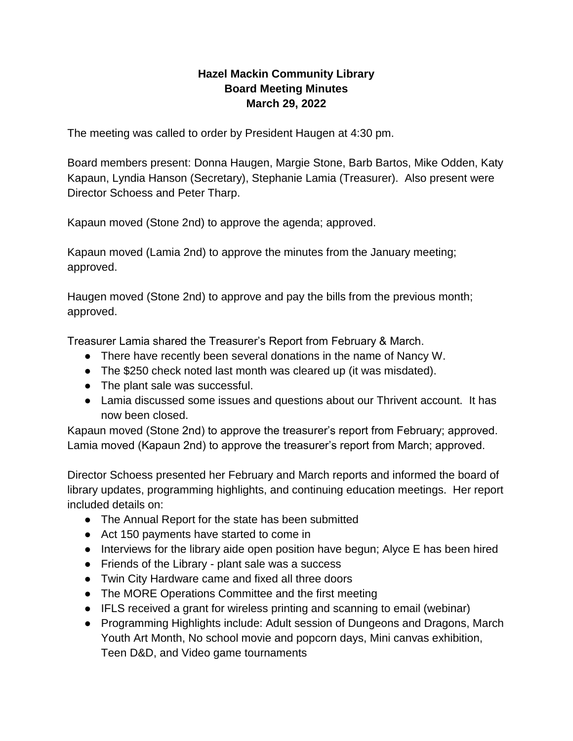## **Hazel Mackin Community Library Board Meeting Minutes March 29, 2022**

The meeting was called to order by President Haugen at 4:30 pm.

Board members present: Donna Haugen, Margie Stone, Barb Bartos, Mike Odden, Katy Kapaun, Lyndia Hanson (Secretary), Stephanie Lamia (Treasurer). Also present were Director Schoess and Peter Tharp.

Kapaun moved (Stone 2nd) to approve the agenda; approved.

Kapaun moved (Lamia 2nd) to approve the minutes from the January meeting; approved.

Haugen moved (Stone 2nd) to approve and pay the bills from the previous month; approved.

Treasurer Lamia shared the Treasurer's Report from February & March.

- There have recently been several donations in the name of Nancy W.
- The \$250 check noted last month was cleared up (it was misdated).
- The plant sale was successful.
- Lamia discussed some issues and questions about our Thrivent account. It has now been closed.

Kapaun moved (Stone 2nd) to approve the treasurer's report from February; approved. Lamia moved (Kapaun 2nd) to approve the treasurer's report from March; approved.

Director Schoess presented her February and March reports and informed the board of library updates, programming highlights, and continuing education meetings. Her report included details on:

- The Annual Report for the state has been submitted
- Act 150 payments have started to come in
- Interviews for the library aide open position have begun; Alyce E has been hired
- Friends of the Library plant sale was a success
- Twin City Hardware came and fixed all three doors
- The MORE Operations Committee and the first meeting
- IFLS received a grant for wireless printing and scanning to email (webinar)
- Programming Highlights include: Adult session of Dungeons and Dragons, March Youth Art Month, No school movie and popcorn days, Mini canvas exhibition, Teen D&D, and Video game tournaments